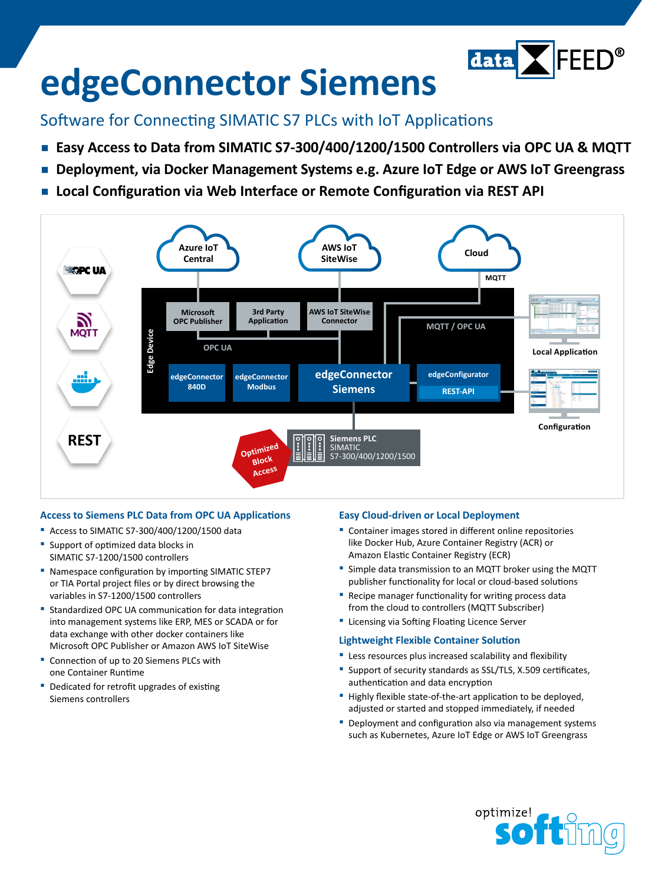

# **edgeConnector Siemens**

### Software for Connecting SIMATIC S7 PLCs with IoT Applications

- **▪  Easy Access to Data from SIMATIC S7-300/400/1200/1500 Controllers via OPC UA & MQTT**
- **▪  Deployment, via Docker Management Systems e.g. Azure IoT Edge or AWS IoT Greengrass**
- **▪  Local Configuration via Web Interface or Remote Configuration via REST API**



#### **Access to Siemens PLC Data from OPC UA Applications**

- **▪** Access to SIMATIC S7-300/400/1200/1500 data
- **▪** Support of optimized data blocks in SIMATIC S7-1200/1500 controllers
- **▪** Namespace configuration by importing SIMATIC STEP7 or TIA Portal project files or by direct browsing the variables in S7-1200/1500 controllers
- **▪** Standardized OPC UA communication for data integration into management systems like ERP, MES or SCADA or for data exchange with other docker containers like Microsoft OPC Publisher or Amazon AWS IoT SiteWise
- **▪** Connection of up to 20 Siemens PLCs with one Container Runtime
- **▪** Dedicated for retrofit upgrades of existing Siemens controllers

#### **Easy Cloud-driven or Local Deployment**

- **▪** Container images stored in different online repositories like Docker Hub, Azure Container Registry (ACR) or Amazon Elastic Container Registry (ECR)
- **▪** Simple data transmission to an MQTT broker using the MQTT publisher functionality for local or cloud-based solutions
- **▪** Recipe manager functionality for writing process data from the cloud to controllers (MQTT Subscriber)
- **▪** Licensing via Softing Floating Licence Server

#### **Lightweight Flexible Container Solution**

- **▪** Less resources plus increased scalability and flexibility
- **▪** Support of security standards as SSL/TLS, X.509 certificates, authentication and data encryption
- **▪** Highly flexible state-of-the-art application to be deployed, adjusted or started and stopped immediately, if needed
- **▪** Deployment and configuration also via management systems such as Kubernetes, Azure IoT Edge or AWS IoT Greengrass